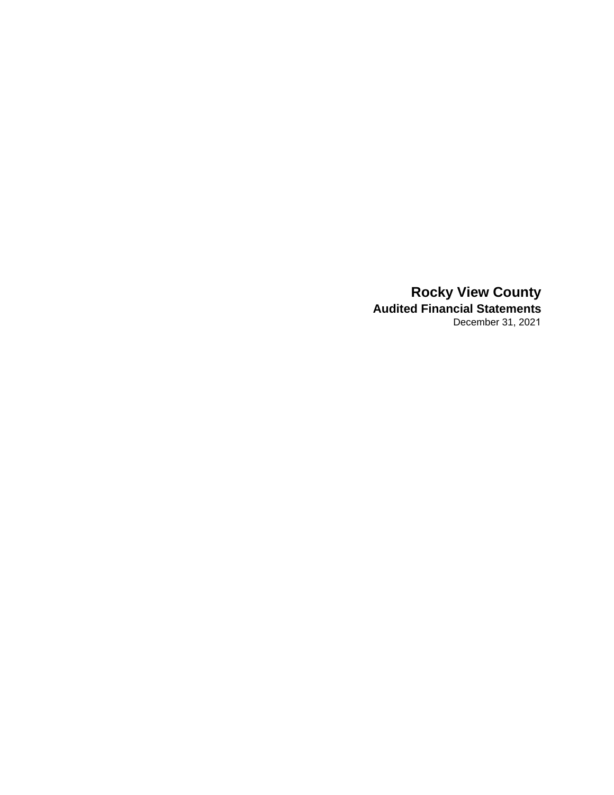**Rocky View County Audited Financial Statements** December 31, 2021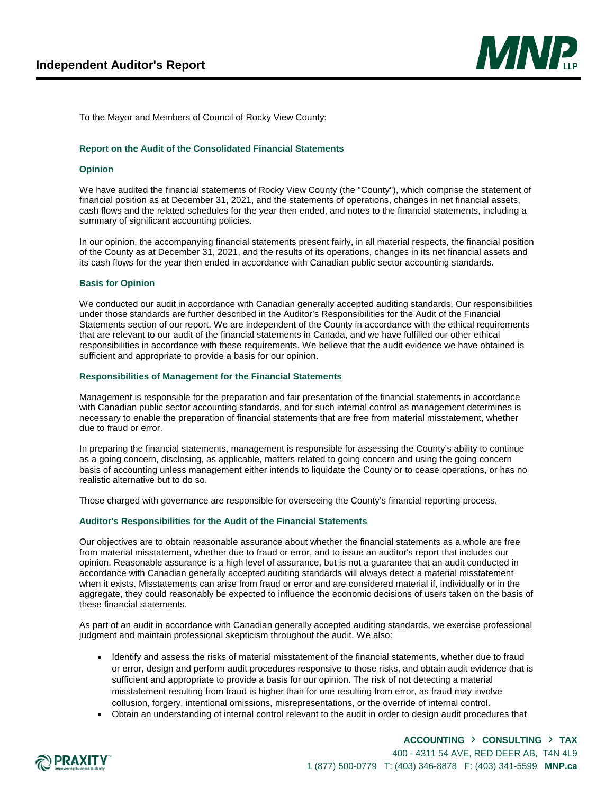

To the Mayor and Members of Council of Rocky View County:

#### **Report on the Audit of the Consolidated Financial Statements**

#### **Opinion**

We have audited the financial statements of Rocky View County (the "County"), which comprise the statement of financial position as at December 31, 2021, and the statements of operations, changes in net financial assets, cash flows and the related schedules for the year then ended, and notes to the financial statements, including a summary of significant accounting policies.

In our opinion, the accompanying financial statements present fairly, in all material respects, the financial position of the County as at December 31, 2021, and the results of its operations, changes in its net financial assets and its cash flows for the year then ended in accordance with Canadian public sector accounting standards.

#### **Basis for Opinion**

We conducted our audit in accordance with Canadian generally accepted auditing standards. Our responsibilities under those standards are further described in the Auditor's Responsibilities for the Audit of the Financial Statements section of our report. We are independent of the County in accordance with the ethical requirements that are relevant to our audit of the financial statements in Canada, and we have fulfilled our other ethical responsibilities in accordance with these requirements. We believe that the audit evidence we have obtained is sufficient and appropriate to provide a basis for our opinion.

#### **Responsibilities of Management for the Financial Statements**

Management is responsible for the preparation and fair presentation of the financial statements in accordance with Canadian public sector accounting standards, and for such internal control as management determines is necessary to enable the preparation of financial statements that are free from material misstatement, whether due to fraud or error.

In preparing the financial statements, management is responsible for assessing the County's ability to continue as a going concern, disclosing, as applicable, matters related to going concern and using the going concern basis of accounting unless management either intends to liquidate the County or to cease operations, or has no realistic alternative but to do so.

Those charged with governance are responsible for overseeing the County's financial reporting process.

#### **Auditor's Responsibilities for the Audit of the Financial Statements**

Our objectives are to obtain reasonable assurance about whether the financial statements as a whole are free from material misstatement, whether due to fraud or error, and to issue an auditor's report that includes our opinion. Reasonable assurance is a high level of assurance, but is not a guarantee that an audit conducted in accordance with Canadian generally accepted auditing standards will always detect a material misstatement when it exists. Misstatements can arise from fraud or error and are considered material if, individually or in the aggregate, they could reasonably be expected to influence the economic decisions of users taken on the basis of these financial statements.

As part of an audit in accordance with Canadian generally accepted auditing standards, we exercise professional judgment and maintain professional skepticism throughout the audit. We also:

- Identify and assess the risks of material misstatement of the financial statements, whether due to fraud or error, design and perform audit procedures responsive to those risks, and obtain audit evidence that is sufficient and appropriate to provide a basis for our opinion. The risk of not detecting a material misstatement resulting from fraud is higher than for one resulting from error, as fraud may involve collusion, forgery, intentional omissions, misrepresentations, or the override of internal control.
- Obtain an understanding of internal control relevant to the audit in order to design audit procedures that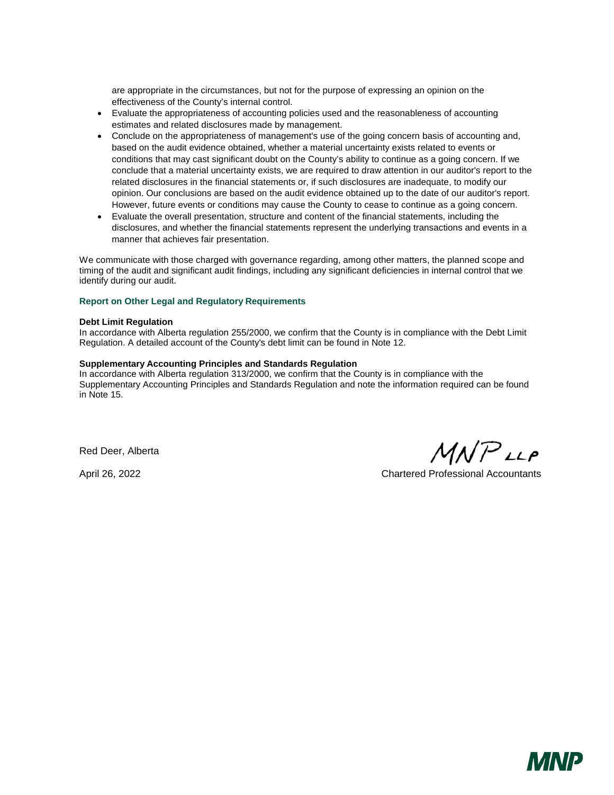are appropriate in the circumstances, but not for the purpose of expressing an opinion on the effectiveness of the County's internal control.

- Evaluate the appropriateness of accounting policies used and the reasonableness of accounting estimates and related disclosures made by management.
- Conclude on the appropriateness of management's use of the going concern basis of accounting and, based on the audit evidence obtained, whether a material uncertainty exists related to events or conditions that may cast significant doubt on the County's ability to continue as a going concern. If we conclude that a material uncertainty exists, we are required to draw attention in our auditor's report to the related disclosures in the financial statements or, if such disclosures are inadequate, to modify our opinion. Our conclusions are based on the audit evidence obtained up to the date of our auditor's report. However, future events or conditions may cause the County to cease to continue as a going concern.
- Evaluate the overall presentation, structure and content of the financial statements, including the disclosures, and whether the financial statements represent the underlying transactions and events in a manner that achieves fair presentation.

We communicate with those charged with governance regarding, among other matters, the planned scope and timing of the audit and significant audit findings, including any significant deficiencies in internal control that we identify during our audit.

#### **Report on Other Legal and Regulatory Requirements**

#### **Debt Limit Regulation**

In accordance with Alberta regulation 255/2000, we confirm that the County is in compliance with the Debt Limit Regulation. A detailed account of the County's debt limit can be found in Note 12.

#### **Supplementary Accounting Principles and Standards Regulation**

In accordance with Alberta regulation 313/2000, we confirm that the County is in compliance with the Supplementary Accounting Principles and Standards Regulation and note the information required can be found in Note 15.

Red Deer, Alberta

 $M N P$ <sub>LLP</sub>

April 26, 2022 Chartered Professional Accountants

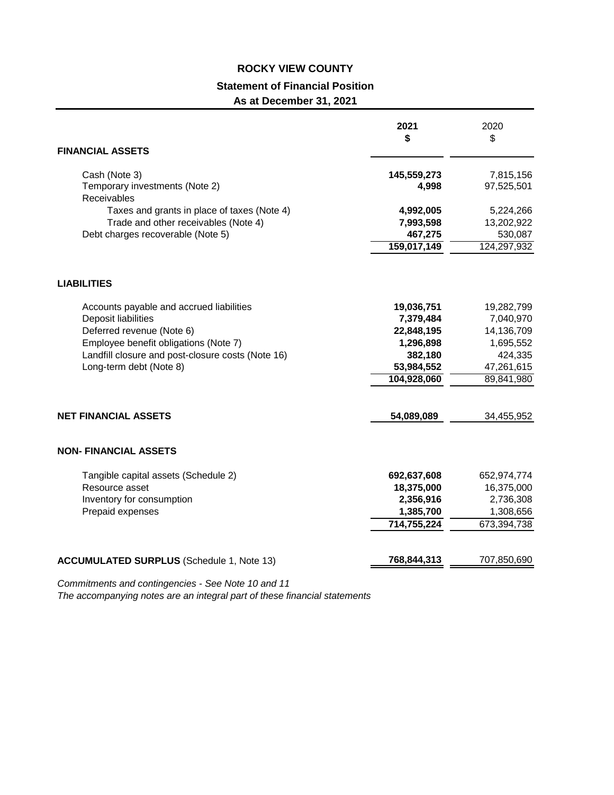### **ROCKY VIEW COUNTY Statement of Financial Position As at December 31, 2021**

| <b>FINANCIAL ASSETS</b>                           | 2021<br>\$             | 2020<br>\$              |
|---------------------------------------------------|------------------------|-------------------------|
| Cash (Note 3)<br>Temporary investments (Note 2)   | 145,559,273<br>4,998   | 7,815,156<br>97,525,501 |
| Receivables                                       |                        |                         |
| Taxes and grants in place of taxes (Note 4)       | 4,992,005              | 5,224,266               |
| Trade and other receivables (Note 4)              | 7,993,598              | 13,202,922              |
| Debt charges recoverable (Note 5)                 | 467,275<br>159,017,149 | 530,087<br>124,297,932  |
| <b>LIABILITIES</b>                                |                        |                         |
| Accounts payable and accrued liabilities          | 19,036,751             | 19,282,799              |
| Deposit liabilities                               | 7,379,484              | 7,040,970               |
| Deferred revenue (Note 6)                         | 22,848,195             | 14,136,709              |
| Employee benefit obligations (Note 7)             | 1,296,898              | 1,695,552               |
| Landfill closure and post-closure costs (Note 16) | 382,180                | 424,335                 |
| Long-term debt (Note 8)                           | 53,984,552             | 47,261,615              |
|                                                   | 104,928,060            | 89,841,980              |
| <b>NET FINANCIAL ASSETS</b>                       | 54,089,089             | 34,455,952              |
| <b>NON- FINANCIAL ASSETS</b>                      |                        |                         |
| Tangible capital assets (Schedule 2)              | 692,637,608            | 652,974,774             |
| Resource asset                                    | 18,375,000             | 16,375,000              |
| Inventory for consumption                         | 2,356,916              | 2,736,308               |
| Prepaid expenses                                  | 1,385,700              | 1,308,656               |
|                                                   | 714,755,224            | 673,394,738             |
| <b>ACCUMULATED SURPLUS (Schedule 1, Note 13)</b>  | 768,844,313            | 707,850,690             |

*Commitments and contingencies - See Note 10 and 11*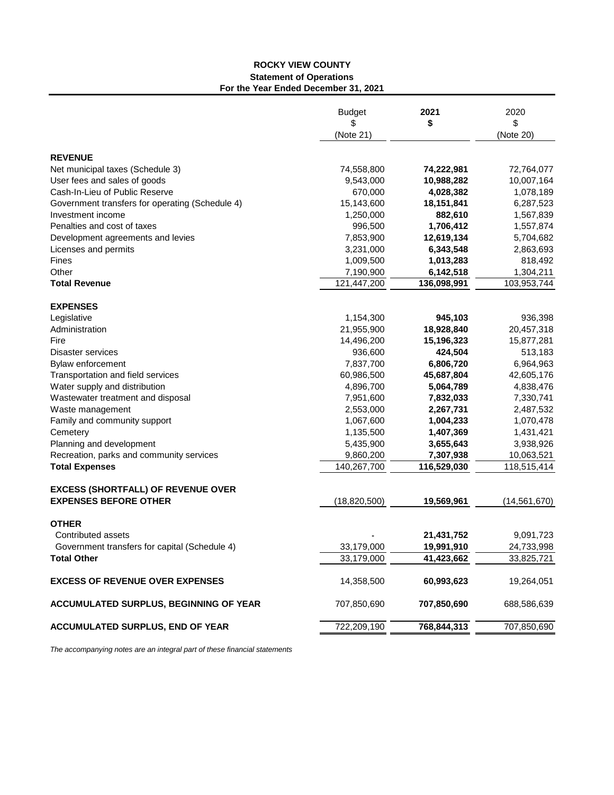#### **ROCKY VIEW COUNTY Statement of Operations For the Year Ended December 31, 2021**

|                                                 | <b>Budget</b><br>S<br>(Note 21) | 2021<br>\$   | 2020<br>\$<br>(Note 20) |
|-------------------------------------------------|---------------------------------|--------------|-------------------------|
| <b>REVENUE</b>                                  |                                 |              |                         |
| Net municipal taxes (Schedule 3)                | 74,558,800                      | 74,222,981   | 72,764,077              |
| User fees and sales of goods                    | 9,543,000                       | 10,988,282   | 10,007,164              |
| Cash-In-Lieu of Public Reserve                  | 670,000                         | 4,028,382    | 1,078,189               |
| Government transfers for operating (Schedule 4) | 15,143,600                      | 18, 151, 841 | 6,287,523               |
| Investment income                               | 1,250,000                       | 882,610      | 1,567,839               |
| Penalties and cost of taxes                     | 996,500                         | 1,706,412    | 1,557,874               |
| Development agreements and levies               | 7,853,900                       | 12,619,134   | 5,704,682               |
| Licenses and permits                            | 3,231,000                       | 6,343,548    | 2,863,693               |
| Fines                                           | 1,009,500                       | 1,013,283    | 818,492                 |
| Other                                           | 7,190,900                       | 6,142,518    | 1,304,211               |
| <b>Total Revenue</b>                            | 121,447,200                     | 136,098,991  | 103,953,744             |
| <b>EXPENSES</b>                                 |                                 |              |                         |
| Legislative                                     | 1,154,300                       | 945,103      | 936,398                 |
| Administration                                  | 21,955,900                      | 18,928,840   | 20,457,318              |
| Fire                                            | 14,496,200                      | 15,196,323   | 15,877,281              |
| Disaster services                               | 936,600                         | 424,504      | 513,183                 |
| Bylaw enforcement                               | 7,837,700                       | 6,806,720    | 6,964,963               |
| Transportation and field services               | 60,986,500                      | 45,687,804   | 42,605,176              |
| Water supply and distribution                   | 4,896,700                       | 5,064,789    | 4,838,476               |
| Wastewater treatment and disposal               | 7,951,600                       | 7,832,033    | 7,330,741               |
| Waste management                                | 2,553,000                       | 2,267,731    | 2,487,532               |
| Family and community support                    | 1,067,600                       | 1,004,233    | 1,070,478               |
| Cemetery                                        | 1,135,500                       | 1,407,369    | 1,431,421               |
| Planning and development                        | 5,435,900                       | 3,655,643    | 3,938,926               |
| Recreation, parks and community services        | 9,860,200                       | 7,307,938    | 10,063,521              |
| <b>Total Expenses</b>                           | 140,267,700                     | 116,529,030  | 118,515,414             |
| <b>EXCESS (SHORTFALL) OF REVENUE OVER</b>       |                                 |              |                         |
| <b>EXPENSES BEFORE OTHER</b>                    | (18,820,500)                    | 19,569,961   | (14, 561, 670)          |
| <b>OTHER</b>                                    |                                 |              |                         |
| Contributed assets                              |                                 | 21,431,752   | 9,091,723               |
| Government transfers for capital (Schedule 4)   | 33,179,000                      | 19,991,910   | 24,733,998              |
| <b>Total Other</b>                              | 33,179,000                      | 41,423,662   | 33,825,721              |
| <b>EXCESS OF REVENUE OVER EXPENSES</b>          | 14,358,500                      | 60,993,623   | 19,264,051              |
| <b>ACCUMULATED SURPLUS, BEGINNING OF YEAR</b>   | 707,850,690                     | 707,850,690  | 688,586,639             |
| <b>ACCUMULATED SURPLUS, END OF YEAR</b>         | 722,209,190                     | 768,844,313  | 707,850,690             |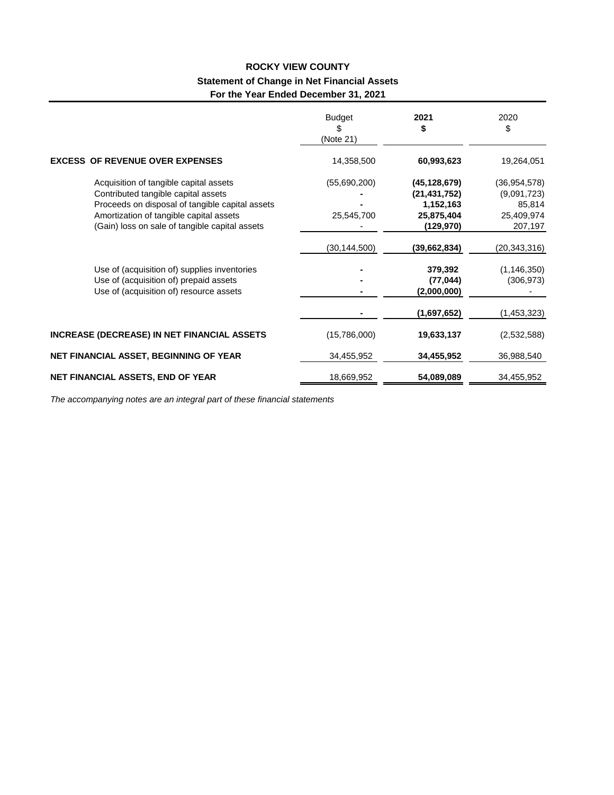### **ROCKY VIEW COUNTY Statement of Change in Net Financial Assets For the Year Ended December 31, 2021**

|                                                                                                                                                                                                                               | Budget<br>\$<br>(Note 21)  | 2021<br>\$                                                              | 2020<br>\$                                                       |
|-------------------------------------------------------------------------------------------------------------------------------------------------------------------------------------------------------------------------------|----------------------------|-------------------------------------------------------------------------|------------------------------------------------------------------|
| <b>EXCESS OF REVENUE OVER EXPENSES</b>                                                                                                                                                                                        | 14,358,500                 | 60,993,623                                                              | 19,264,051                                                       |
| Acquisition of tangible capital assets<br>Contributed tangible capital assets<br>Proceeds on disposal of tangible capital assets<br>Amortization of tangible capital assets<br>(Gain) loss on sale of tangible capital assets | (55,690,200)<br>25,545,700 | (45,128,679)<br>(21, 431, 752)<br>1,152,163<br>25,875,404<br>(129, 970) | (36, 954, 578)<br>(9,091,723)<br>85,814<br>25,409,974<br>207,197 |
| Use of (acquisition of) supplies inventories<br>Use of (acquisition of) prepaid assets<br>Use of (acquisition of) resource assets                                                                                             | (30, 144, 500)             | (39,662,834)<br>379,392<br>(77, 044)<br>(2,000,000)                     | (20,343,316)<br>(1, 146, 350)<br>(306, 973)                      |
| <b>INCREASE (DECREASE) IN NET FINANCIAL ASSETS</b>                                                                                                                                                                            | (15,786,000)               | (1,697,652)<br>19,633,137                                               | (1,453,323)                                                      |
| NET FINANCIAL ASSET, BEGINNING OF YEAR                                                                                                                                                                                        | 34,455,952                 | 34,455,952                                                              | (2,532,588)<br>36,988,540                                        |
| NET FINANCIAL ASSETS, END OF YEAR                                                                                                                                                                                             | 18,669,952                 | 54,089,089                                                              | 34,455,952                                                       |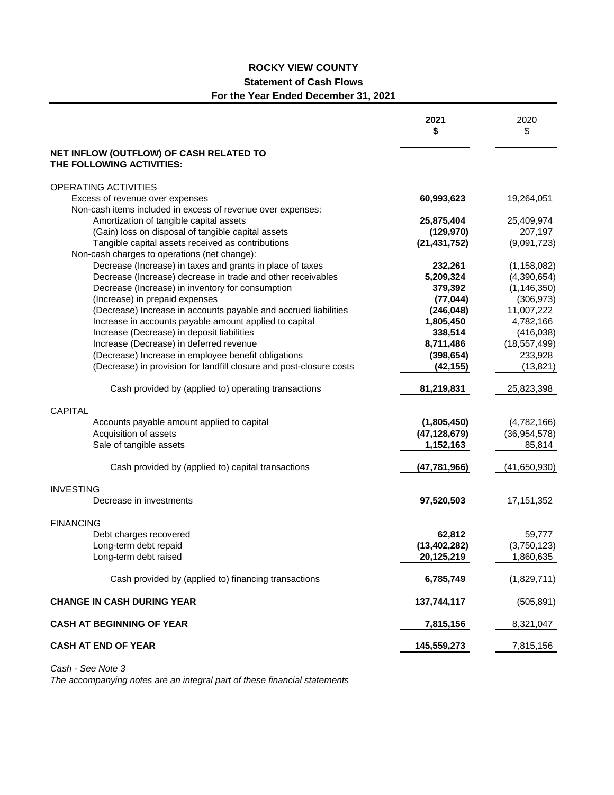### **ROCKY VIEW COUNTY Statement of Cash Flows**

### **For the Year Ended December 31, 2021**

|                                                                      | 2021<br>\$     | 2020<br>\$     |
|----------------------------------------------------------------------|----------------|----------------|
| NET INFLOW (OUTFLOW) OF CASH RELATED TO<br>THE FOLLOWING ACTIVITIES: |                |                |
| OPERATING ACTIVITIES                                                 |                |                |
| Excess of revenue over expenses                                      | 60,993,623     | 19,264,051     |
| Non-cash items included in excess of revenue over expenses:          |                |                |
| Amortization of tangible capital assets                              | 25,875,404     | 25,409,974     |
| (Gain) loss on disposal of tangible capital assets                   | (129, 970)     | 207,197        |
| Tangible capital assets received as contributions                    | (21, 431, 752) | (9,091,723)    |
| Non-cash charges to operations (net change):                         |                |                |
| Decrease (Increase) in taxes and grants in place of taxes            | 232,261        | (1, 158, 082)  |
| Decrease (Increase) decrease in trade and other receivables          | 5,209,324      | (4,390,654)    |
| Decrease (Increase) in inventory for consumption                     | 379,392        | (1, 146, 350)  |
| (Increase) in prepaid expenses                                       | (77, 044)      | (306, 973)     |
| (Decrease) Increase in accounts payable and accrued liabilities      | (246, 048)     | 11,007,222     |
| Increase in accounts payable amount applied to capital               | 1,805,450      | 4,782,166      |
| Increase (Decrease) in deposit liabilities                           | 338,514        | (416, 038)     |
| Increase (Decrease) in deferred revenue                              | 8,711,486      | (18, 557, 499) |
| (Decrease) Increase in employee benefit obligations                  | (398, 654)     | 233,928        |
| (Decrease) in provision for landfill closure and post-closure costs  | (42, 155)      | (13, 821)      |
| Cash provided by (applied to) operating transactions                 | 81,219,831     | 25,823,398     |
| <b>CAPITAL</b>                                                       |                |                |
| Accounts payable amount applied to capital                           | (1,805,450)    | (4,782,166)    |
| Acquisition of assets                                                | (47, 128, 679) | (36, 954, 578) |
| Sale of tangible assets                                              | 1,152,163      | 85,814         |
| Cash provided by (applied to) capital transactions                   | (47, 781, 966) | (41,650,930)   |
| <b>INVESTING</b>                                                     |                |                |
| Decrease in investments                                              | 97,520,503     | 17, 151, 352   |
| <b>FINANCING</b>                                                     |                |                |
| Debt charges recovered                                               | 62,812         | 59,777         |
| Long-term debt repaid                                                | (13, 402, 282) | (3,750,123)    |
| Long-term debt raised                                                | 20,125,219     | 1,860,635      |
| Cash provided by (applied to) financing transactions                 | 6,785,749      | (1,829,711)    |
| <b>CHANGE IN CASH DURING YEAR</b>                                    | 137,744,117    | (505, 891)     |
| <b>CASH AT BEGINNING OF YEAR</b>                                     | 7,815,156      | 8,321,047      |
| <b>CASH AT END OF YEAR</b>                                           | 145,559,273    | 7,815,156      |

*Cash - See Note 3*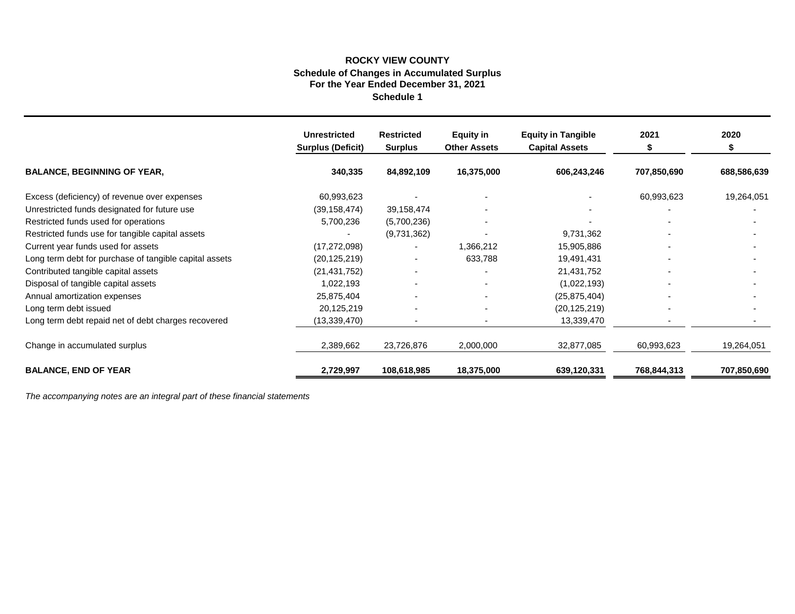#### **Schedule 1 Schedule of Changes in Accumulated Surplus For the Year Ended December 31, 2021 ROCKY VIEW COUNTY**

|                                                        | <b>Unrestricted</b><br><b>Surplus (Deficit)</b> | <b>Restricted</b><br><b>Surplus</b> | Equity in<br><b>Other Assets</b> | <b>Equity in Tangible</b><br><b>Capital Assets</b> | 2021        | 2020        |
|--------------------------------------------------------|-------------------------------------------------|-------------------------------------|----------------------------------|----------------------------------------------------|-------------|-------------|
| <b>BALANCE, BEGINNING OF YEAR,</b>                     | 340,335                                         | 84,892,109                          | 16,375,000                       | 606,243,246                                        | 707,850,690 | 688,586,639 |
| Excess (deficiency) of revenue over expenses           | 60,993,623                                      |                                     |                                  |                                                    | 60,993,623  | 19,264,051  |
| Unrestricted funds designated for future use           | (39, 158, 474)                                  | 39,158,474                          |                                  |                                                    |             |             |
| Restricted funds used for operations                   | 5,700,236                                       | (5,700,236)                         |                                  |                                                    |             |             |
| Restricted funds use for tangible capital assets       |                                                 | (9,731,362)                         |                                  | 9,731,362                                          |             |             |
| Current year funds used for assets                     | (17, 272, 098)                                  |                                     | 1,366,212                        | 15,905,886                                         |             |             |
| Long term debt for purchase of tangible capital assets | (20, 125, 219)                                  |                                     | 633,788                          | 19,491,431                                         |             |             |
| Contributed tangible capital assets                    | (21, 431, 752)                                  |                                     |                                  | 21,431,752                                         |             |             |
| Disposal of tangible capital assets                    | 1,022,193                                       |                                     |                                  | (1,022,193)                                        |             |             |
| Annual amortization expenses                           | 25,875,404                                      |                                     |                                  | (25, 875, 404)                                     |             |             |
| Long term debt issued                                  | 20,125,219                                      |                                     |                                  | (20, 125, 219)                                     |             |             |
| Long term debt repaid net of debt charges recovered    | (13,339,470)                                    |                                     |                                  | 13,339,470                                         |             |             |
| Change in accumulated surplus                          | 2,389,662                                       | 23,726,876                          | 2,000,000                        | 32,877,085                                         | 60,993,623  | 19,264,051  |
| <b>BALANCE, END OF YEAR</b>                            | 2,729,997                                       | 108,618,985                         | 18,375,000                       | 639,120,331                                        | 768,844,313 | 707,850,690 |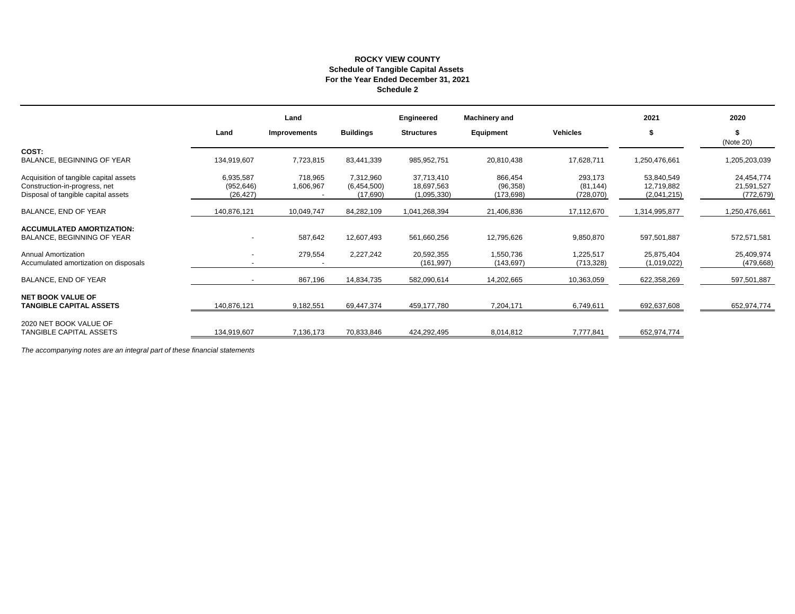#### **ROCKY VIEW COUNTY Schedule of Tangible Capital Assets For the Year Ended December 31, 2021 Schedule 2**

|                                                                                                                |                                      | Land                 |                                      | Engineered                              | <b>Machinery and</b>               |                                   | 2021                                    | 2020                                   |
|----------------------------------------------------------------------------------------------------------------|--------------------------------------|----------------------|--------------------------------------|-----------------------------------------|------------------------------------|-----------------------------------|-----------------------------------------|----------------------------------------|
|                                                                                                                | Land                                 | <b>Improvements</b>  | <b>Buildings</b>                     | <b>Structures</b>                       | Equipment                          | <b>Vehicles</b>                   | \$                                      | (Note 20)                              |
| COST:<br>BALANCE, BEGINNING OF YEAR                                                                            | 134,919,607                          | 7,723,815            | 83,441,339                           | 985,952,751                             | 20,810,438                         | 17,628,711                        | 1,250,476,661                           | 1,205,203,039                          |
| Acquisition of tangible capital assets<br>Construction-in-progress, net<br>Disposal of tangible capital assets | 6,935,587<br>(952, 646)<br>(26, 427) | 718,965<br>1,606,967 | 7,312,960<br>(6,454,500)<br>(17,690) | 37,713,410<br>18,697,563<br>(1,095,330) | 866,454<br>(96, 358)<br>(173, 698) | 293,173<br>(81, 144)<br>(728,070) | 53,840,549<br>12,719,882<br>(2,041,215) | 24,454,774<br>21,591,527<br>(772, 679) |
| BALANCE, END OF YEAR                                                                                           | 140,876,121                          | 10,049,747           | 84,282,109                           | 1,041,268,394                           | 21,406,836                         | 17,112,670                        | 1,314,995,877                           | 1,250,476,661                          |
| <b>ACCUMULATED AMORTIZATION:</b><br>BALANCE, BEGINNING OF YEAR                                                 | $\overline{\phantom{a}}$             | 587,642              | 12,607,493                           | 561,660,256                             | 12,795,626                         | 9,850,870                         | 597,501,887                             | 572,571,581                            |
| Annual Amortization<br>Accumulated amortization on disposals                                                   | $\overline{\phantom{a}}$             | 279,554              | 2,227,242                            | 20,592,355<br>(161, 997)                | 1,550,736<br>(143, 697)            | 1,225,517<br>(713, 328)           | 25,875,404<br>(1,019,022)               | 25,409,974<br>(479, 668)               |
| BALANCE, END OF YEAR                                                                                           |                                      | 867,196              | 14,834,735                           | 582,090,614                             | 14,202,665                         | 10,363,059                        | 622,358,269                             | 597,501,887                            |
| <b>NET BOOK VALUE OF</b><br><b>TANGIBLE CAPITAL ASSETS</b>                                                     | 140,876,121                          | 9,182,551            | 69,447,374                           | 459,177,780                             | 7,204,171                          | 6,749,611                         | 692,637,608                             | 652,974,774                            |
| 2020 NET BOOK VALUE OF<br>TANGIBLE CAPITAL ASSETS                                                              | 134,919,607                          | 7,136,173            | 70,833,846                           | 424,292,495                             | 8,014,812                          | 7,777,841                         | 652,974,774                             |                                        |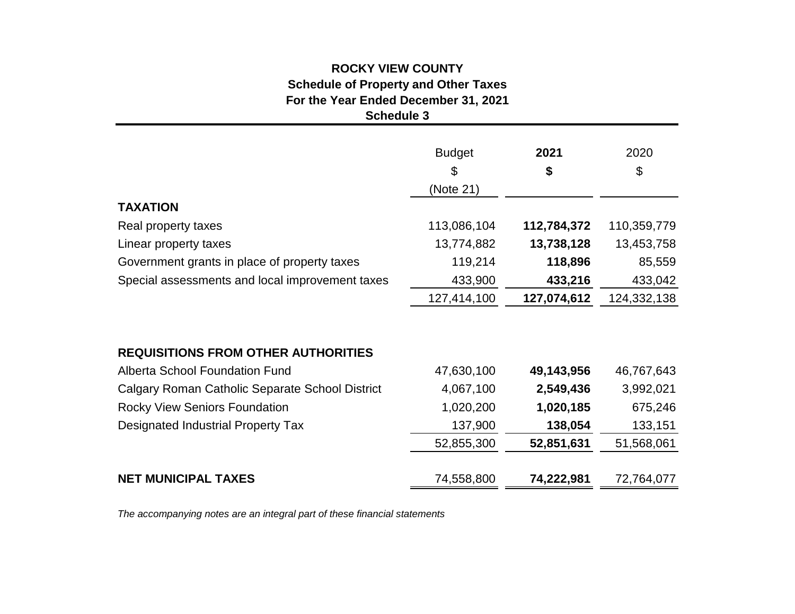### **Schedule 3 ROCKY VIEW COUNTY Schedule of Property and Other Taxes For the Year Ended December 31, 2021**

|                                                 | <b>Budget</b><br>\$<br>(Note 21) | 2021<br>\$  | 2020<br>\$  |
|-------------------------------------------------|----------------------------------|-------------|-------------|
| <b>TAXATION</b>                                 |                                  |             |             |
| Real property taxes                             | 113,086,104                      | 112,784,372 | 110,359,779 |
| Linear property taxes                           | 13,774,882                       | 13,738,128  | 13,453,758  |
| Government grants in place of property taxes    | 119,214                          | 118,896     | 85,559      |
| Special assessments and local improvement taxes | 433,900                          | 433,216     | 433,042     |
|                                                 | 127,414,100                      | 127,074,612 | 124,332,138 |
| <b>REQUISITIONS FROM OTHER AUTHORITIES</b>      |                                  |             |             |
| <b>Alberta School Foundation Fund</b>           | 47,630,100                       | 49,143,956  | 46,767,643  |
| Calgary Roman Catholic Separate School District | 4,067,100                        | 2,549,436   | 3,992,021   |
| <b>Rocky View Seniors Foundation</b>            | 1,020,200                        | 1,020,185   | 675,246     |
| Designated Industrial Property Tax              | 137,900                          | 138,054     | 133,151     |
|                                                 | 52,855,300                       | 52,851,631  | 51,568,061  |

**NET MUNICIPAL TAXES** 74,558,800 **74,222,981** 72,764,077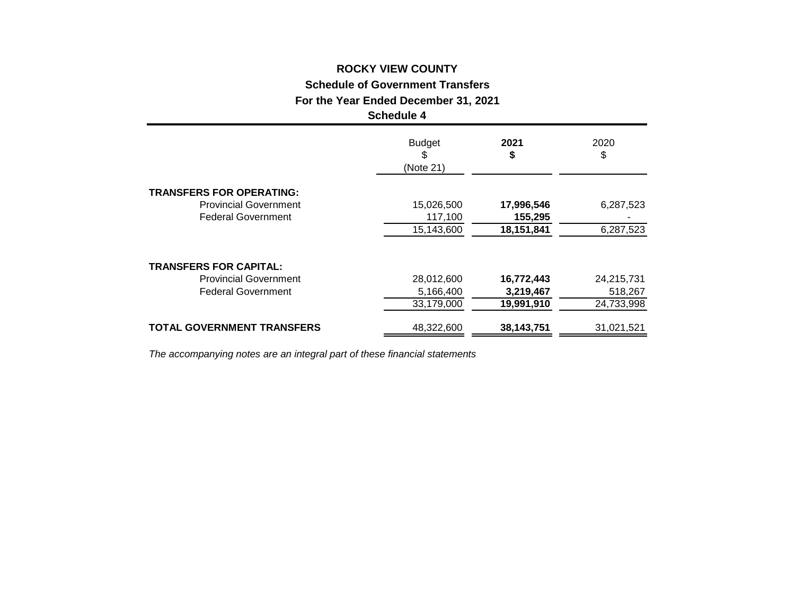#### **ROCKY VIEW COUNTY**

**Schedule of Government Transfers**

**For the Year Ended December 31, 2021**

#### **Schedule 4**

|                                   | <b>Budget</b><br>\$<br>(Note 21) | 2021<br>\$ | 2020<br>\$ |
|-----------------------------------|----------------------------------|------------|------------|
| <b>TRANSFERS FOR OPERATING:</b>   |                                  |            |            |
| <b>Provincial Government</b>      | 15,026,500                       | 17,996,546 | 6,287,523  |
| <b>Federal Government</b>         | 117,100                          | 155,295    |            |
|                                   | 15,143,600                       | 18,151,841 | 6,287,523  |
| <b>TRANSFERS FOR CAPITAL:</b>     |                                  |            |            |
| <b>Provincial Government</b>      | 28,012,600                       | 16,772,443 | 24,215,731 |
| <b>Federal Government</b>         | 5,166,400                        | 3,219,467  | 518,267    |
|                                   | 33,179,000                       | 19,991,910 | 24,733,998 |
| <b>TOTAL GOVERNMENT TRANSFERS</b> | 48,322,600                       | 38,143,751 | 31,021,521 |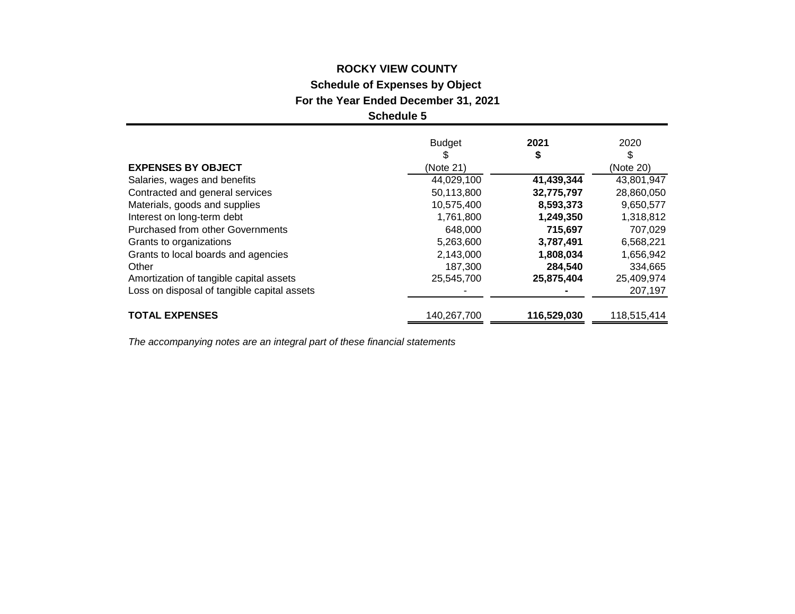# **ROCKY VIEW COUNTY Schedule of Expenses by Object**

**For the Year Ended December 31, 2021**

**Schedule 5**

|                                             | <b>Budget</b> | 2021        | 2020        |
|---------------------------------------------|---------------|-------------|-------------|
|                                             | S             | \$          |             |
| <b>EXPENSES BY OBJECT</b>                   | (Note 21)     |             | (Note 20)   |
| Salaries, wages and benefits                | 44,029,100    | 41,439,344  | 43,801,947  |
| Contracted and general services             | 50,113,800    | 32,775,797  | 28,860,050  |
| Materials, goods and supplies               | 10,575,400    | 8,593,373   | 9,650,577   |
| Interest on long-term debt                  | 1,761,800     | 1,249,350   | 1,318,812   |
| Purchased from other Governments            | 648,000       | 715,697     | 707,029     |
| Grants to organizations                     | 5,263,600     | 3,787,491   | 6,568,221   |
| Grants to local boards and agencies         | 2,143,000     | 1,808,034   | 1,656,942   |
| Other                                       | 187,300       | 284,540     | 334,665     |
| Amortization of tangible capital assets     | 25,545,700    | 25,875,404  | 25,409,974  |
| Loss on disposal of tangible capital assets |               |             | 207,197     |
| <b>TOTAL EXPENSES</b>                       | 140,267,700   | 116,529,030 | 118,515,414 |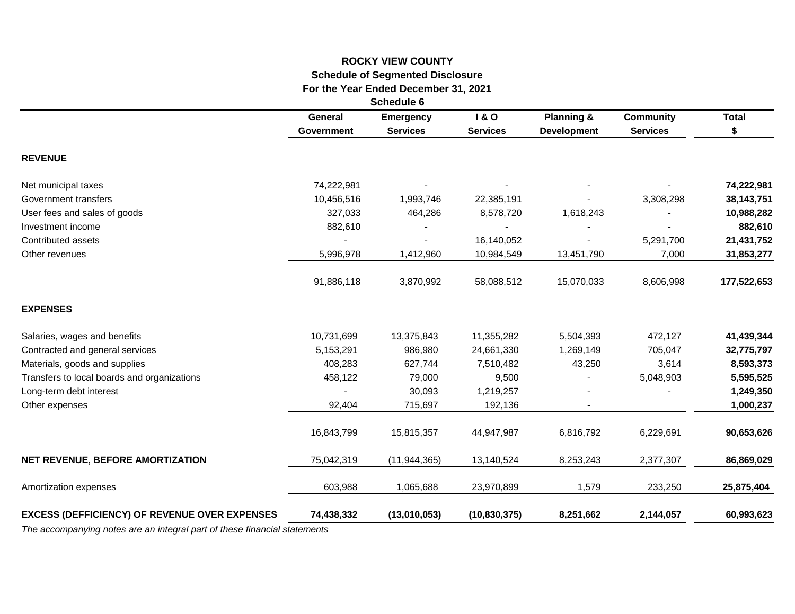### **ROCKY VIEW COUNTY Schedule of Segmented Disclosure For the Year Ended December 31, 2021**

**Schedule 6**

|                                                      | General<br><b>Government</b> | <b>Emergency</b><br><b>Services</b> | <b>1&amp;O</b><br><b>Services</b> | <b>Planning &amp;</b><br><b>Development</b> | <b>Community</b><br><b>Services</b> | <b>Total</b><br>\$ |
|------------------------------------------------------|------------------------------|-------------------------------------|-----------------------------------|---------------------------------------------|-------------------------------------|--------------------|
| <b>REVENUE</b>                                       |                              |                                     |                                   |                                             |                                     |                    |
| Net municipal taxes                                  | 74,222,981                   |                                     |                                   |                                             |                                     | 74,222,981         |
| Government transfers                                 | 10,456,516                   | 1,993,746                           | 22,385,191                        |                                             | 3,308,298                           | 38, 143, 751       |
| User fees and sales of goods                         | 327,033                      | 464,286                             | 8,578,720                         | 1,618,243                                   |                                     | 10,988,282         |
| Investment income                                    | 882,610                      |                                     |                                   |                                             |                                     | 882,610            |
| Contributed assets                                   |                              |                                     | 16,140,052                        |                                             | 5,291,700                           | 21,431,752         |
| Other revenues                                       | 5,996,978                    | 1,412,960                           | 10,984,549                        | 13,451,790                                  | 7,000                               | 31,853,277         |
|                                                      | 91,886,118                   | 3,870,992                           | 58,088,512                        | 15,070,033                                  | 8,606,998                           | 177,522,653        |
| <b>EXPENSES</b>                                      |                              |                                     |                                   |                                             |                                     |                    |
| Salaries, wages and benefits                         | 10,731,699                   | 13,375,843                          | 11,355,282                        | 5,504,393                                   | 472,127                             | 41,439,344         |
| Contracted and general services                      | 5,153,291                    | 986,980                             | 24,661,330                        | 1,269,149                                   | 705,047                             | 32,775,797         |
| Materials, goods and supplies                        | 408,283                      | 627,744                             | 7,510,482                         | 43,250                                      | 3,614                               | 8,593,373          |
| Transfers to local boards and organizations          | 458,122                      | 79,000                              | 9,500                             |                                             | 5,048,903                           | 5,595,525          |
| Long-term debt interest                              |                              | 30,093                              | 1,219,257                         |                                             |                                     | 1,249,350          |
| Other expenses                                       | 92,404                       | 715,697                             | 192,136                           |                                             |                                     | 1,000,237          |
|                                                      | 16,843,799                   | 15,815,357                          | 44,947,987                        | 6,816,792                                   | 6,229,691                           | 90,653,626         |
| NET REVENUE, BEFORE AMORTIZATION                     | 75,042,319                   | (11, 944, 365)                      | 13,140,524                        | 8,253,243                                   | 2,377,307                           | 86,869,029         |
| Amortization expenses                                | 603,988                      | 1,065,688                           | 23,970,899                        | 1,579                                       | 233,250                             | 25,875,404         |
| <b>EXCESS (DEFFICIENCY) OF REVENUE OVER EXPENSES</b> | 74,438,332                   | (13,010,053)                        | (10, 830, 375)                    | 8,251,662                                   | 2,144,057                           | 60,993,623         |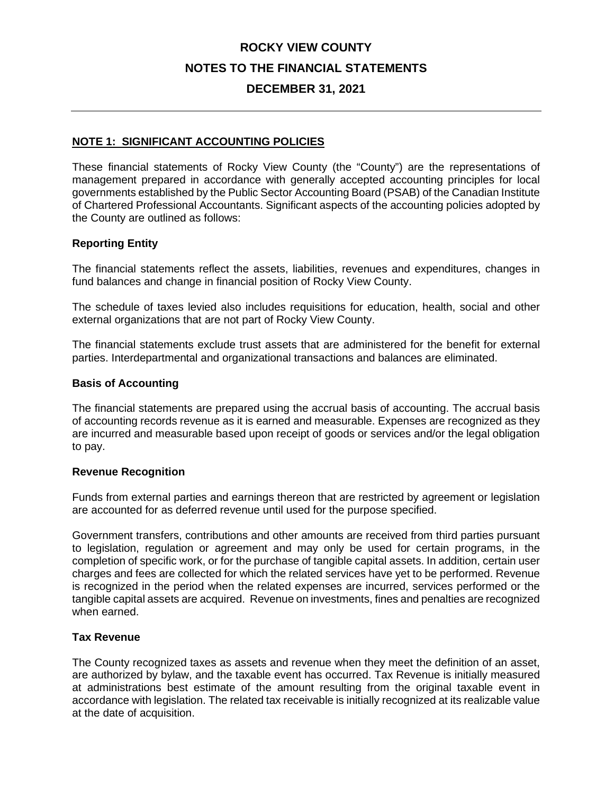### **DECEMBER 31, 2021**

#### **NOTE 1: SIGNIFICANT ACCOUNTING POLICIES**

These financial statements of Rocky View County (the "County") are the representations of management prepared in accordance with generally accepted accounting principles for local governments established by the Public Sector Accounting Board (PSAB) of the Canadian Institute of Chartered Professional Accountants. Significant aspects of the accounting policies adopted by the County are outlined as follows:

#### **Reporting Entity**

The financial statements reflect the assets, liabilities, revenues and expenditures, changes in fund balances and change in financial position of Rocky View County.

The schedule of taxes levied also includes requisitions for education, health, social and other external organizations that are not part of Rocky View County.

The financial statements exclude trust assets that are administered for the benefit for external parties. Interdepartmental and organizational transactions and balances are eliminated.

#### **Basis of Accounting**

The financial statements are prepared using the accrual basis of accounting. The accrual basis of accounting records revenue as it is earned and measurable. Expenses are recognized as they are incurred and measurable based upon receipt of goods or services and/or the legal obligation to pay.

#### **Revenue Recognition**

Funds from external parties and earnings thereon that are restricted by agreement or legislation are accounted for as deferred revenue until used for the purpose specified.

Government transfers, contributions and other amounts are received from third parties pursuant to legislation, regulation or agreement and may only be used for certain programs, in the completion of specific work, or for the purchase of tangible capital assets. In addition, certain user charges and fees are collected for which the related services have yet to be performed. Revenue is recognized in the period when the related expenses are incurred, services performed or the tangible capital assets are acquired. Revenue on investments, fines and penalties are recognized when earned.

#### **Tax Revenue**

The County recognized taxes as assets and revenue when they meet the definition of an asset, are authorized by bylaw, and the taxable event has occurred. Tax Revenue is initially measured at administrations best estimate of the amount resulting from the original taxable event in accordance with legislation. The related tax receivable is initially recognized at its realizable value at the date of acquisition.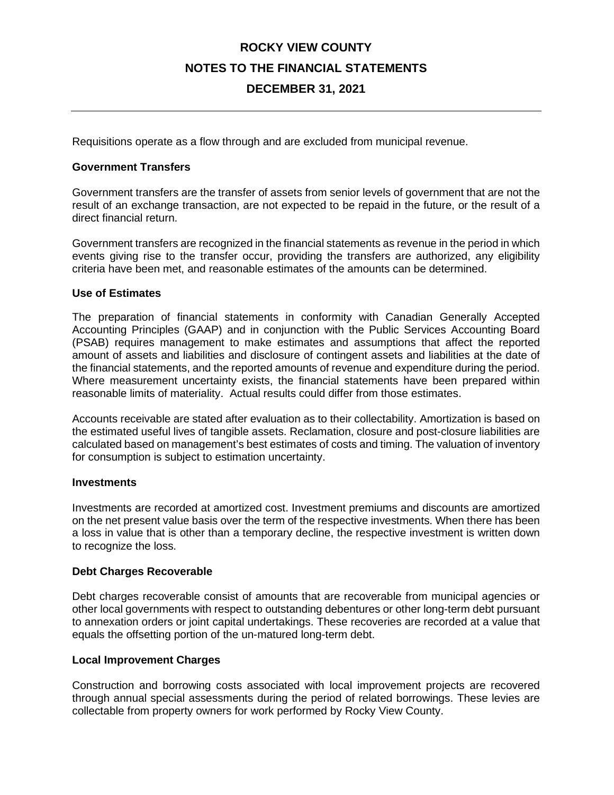### **ROCKY VIEW COUNTY NOTES TO THE FINANCIAL STATEMENTS DECEMBER 31, 2021**

Requisitions operate as a flow through and are excluded from municipal revenue.

#### **Government Transfers**

Government transfers are the transfer of assets from senior levels of government that are not the result of an exchange transaction, are not expected to be repaid in the future, or the result of a direct financial return.

Government transfers are recognized in the financial statements as revenue in the period in which events giving rise to the transfer occur, providing the transfers are authorized, any eligibility criteria have been met, and reasonable estimates of the amounts can be determined.

#### **Use of Estimates**

The preparation of financial statements in conformity with Canadian Generally Accepted Accounting Principles (GAAP) and in conjunction with the Public Services Accounting Board (PSAB) requires management to make estimates and assumptions that affect the reported amount of assets and liabilities and disclosure of contingent assets and liabilities at the date of the financial statements, and the reported amounts of revenue and expenditure during the period. Where measurement uncertainty exists, the financial statements have been prepared within reasonable limits of materiality. Actual results could differ from those estimates.

Accounts receivable are stated after evaluation as to their collectability. Amortization is based on the estimated useful lives of tangible assets. Reclamation, closure and post-closure liabilities are calculated based on management's best estimates of costs and timing. The valuation of inventory for consumption is subject to estimation uncertainty.

#### **Investments**

Investments are recorded at amortized cost. Investment premiums and discounts are amortized on the net present value basis over the term of the respective investments. When there has been a loss in value that is other than a temporary decline, the respective investment is written down to recognize the loss.

#### **Debt Charges Recoverable**

Debt charges recoverable consist of amounts that are recoverable from municipal agencies or other local governments with respect to outstanding debentures or other long-term debt pursuant to annexation orders or joint capital undertakings. These recoveries are recorded at a value that equals the offsetting portion of the un-matured long-term debt.

#### **Local Improvement Charges**

Construction and borrowing costs associated with local improvement projects are recovered through annual special assessments during the period of related borrowings. These levies are collectable from property owners for work performed by Rocky View County.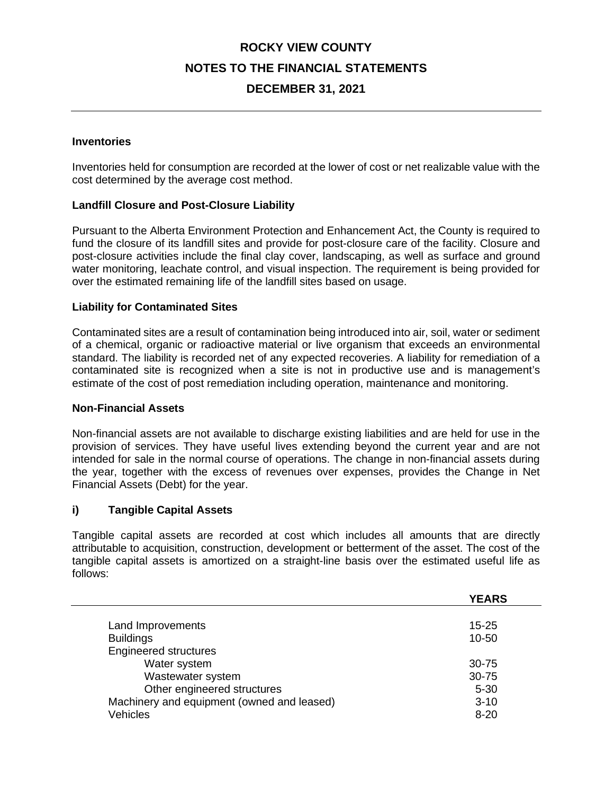### **DECEMBER 31, 2021**

#### **Inventories**

Inventories held for consumption are recorded at the lower of cost or net realizable value with the cost determined by the average cost method.

#### **Landfill Closure and Post-Closure Liability**

Pursuant to the Alberta Environment Protection and Enhancement Act, the County is required to fund the closure of its landfill sites and provide for post-closure care of the facility. Closure and post-closure activities include the final clay cover, landscaping, as well as surface and ground water monitoring, leachate control, and visual inspection. The requirement is being provided for over the estimated remaining life of the landfill sites based on usage.

#### **Liability for Contaminated Sites**

Contaminated sites are a result of contamination being introduced into air, soil, water or sediment of a chemical, organic or radioactive material or live organism that exceeds an environmental standard. The liability is recorded net of any expected recoveries. A liability for remediation of a contaminated site is recognized when a site is not in productive use and is management's estimate of the cost of post remediation including operation, maintenance and monitoring.

#### **Non-Financial Assets**

Non-financial assets are not available to discharge existing liabilities and are held for use in the provision of services. They have useful lives extending beyond the current year and are not intended for sale in the normal course of operations. The change in non-financial assets during the year, together with the excess of revenues over expenses, provides the Change in Net Financial Assets (Debt) for the year.

#### **i) Tangible Capital Assets**

Tangible capital assets are recorded at cost which includes all amounts that are directly attributable to acquisition, construction, development or betterment of the asset. The cost of the tangible capital assets is amortized on a straight-line basis over the estimated useful life as follows:

|                                            | <b>YEARS</b> |
|--------------------------------------------|--------------|
|                                            | $15 - 25$    |
| Land Improvements                          |              |
| <b>Buildings</b>                           | $10 - 50$    |
| <b>Engineered structures</b>               |              |
| Water system                               | $30 - 75$    |
| Wastewater system                          | $30 - 75$    |
| Other engineered structures                | $5 - 30$     |
| Machinery and equipment (owned and leased) | $3 - 10$     |
| <b>Vehicles</b>                            | $8 - 20$     |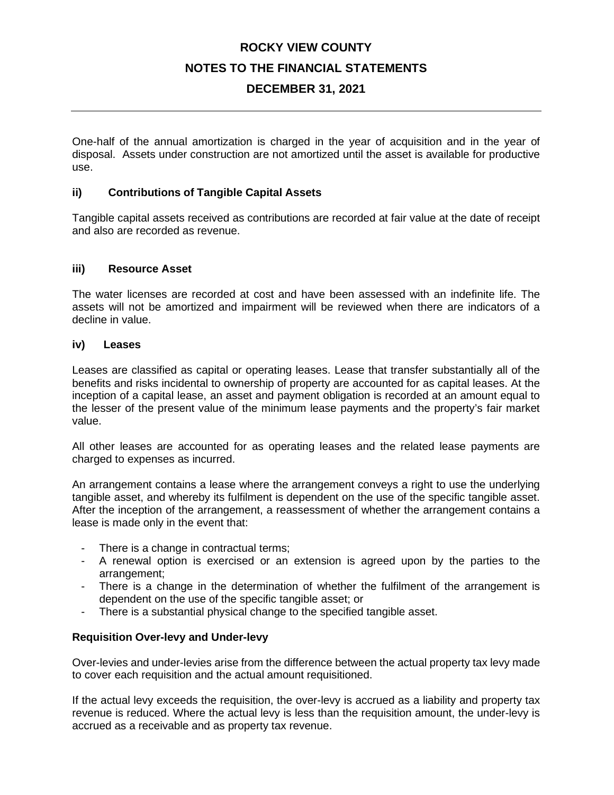### **DECEMBER 31, 2021**

One-half of the annual amortization is charged in the year of acquisition and in the year of disposal. Assets under construction are not amortized until the asset is available for productive use.

#### **ii) Contributions of Tangible Capital Assets**

Tangible capital assets received as contributions are recorded at fair value at the date of receipt and also are recorded as revenue.

#### **iii) Resource Asset**

The water licenses are recorded at cost and have been assessed with an indefinite life. The assets will not be amortized and impairment will be reviewed when there are indicators of a decline in value.

#### **iv) Leases**

Leases are classified as capital or operating leases. Lease that transfer substantially all of the benefits and risks incidental to ownership of property are accounted for as capital leases. At the inception of a capital lease, an asset and payment obligation is recorded at an amount equal to the lesser of the present value of the minimum lease payments and the property's fair market value.

All other leases are accounted for as operating leases and the related lease payments are charged to expenses as incurred.

An arrangement contains a lease where the arrangement conveys a right to use the underlying tangible asset, and whereby its fulfilment is dependent on the use of the specific tangible asset. After the inception of the arrangement, a reassessment of whether the arrangement contains a lease is made only in the event that:

- There is a change in contractual terms:
- A renewal option is exercised or an extension is agreed upon by the parties to the arrangement;
- There is a change in the determination of whether the fulfilment of the arrangement is dependent on the use of the specific tangible asset; or
- There is a substantial physical change to the specified tangible asset.

#### **Requisition Over-levy and Under-levy**

Over-levies and under-levies arise from the difference between the actual property tax levy made to cover each requisition and the actual amount requisitioned.

If the actual levy exceeds the requisition, the over-levy is accrued as a liability and property tax revenue is reduced. Where the actual levy is less than the requisition amount, the under-levy is accrued as a receivable and as property tax revenue.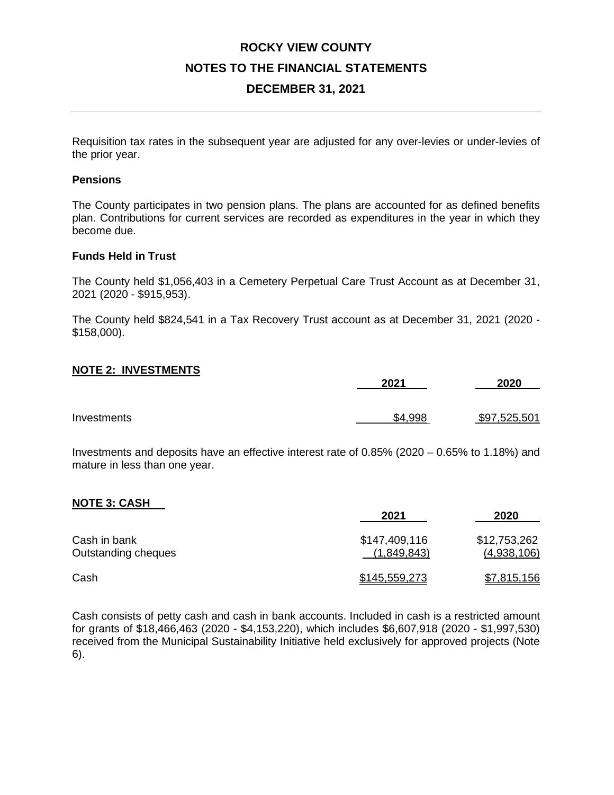### **ROCKY VIEW COUNTY NOTES TO THE FINANCIAL STATEMENTS DECEMBER 31, 2021**

Requisition tax rates in the subsequent year are adjusted for any over-levies or under-levies of the prior year.

#### **Pensions**

The County participates in two pension plans. The plans are accounted for as defined benefits plan. Contributions for current services are recorded as expenditures in the year in which they become due.

#### **Funds Held in Trust**

The County held \$1,056,403 in a Cemetery Perpetual Care Trust Account as at December 31, 2021 (2020 - \$915,953).

The County held \$824,541 in a Tax Recovery Trust account as at December 31, 2021 (2020 - \$158,000).

#### **NOTE 2: INVESTMENTS**

|             | 2021    | 2020         |
|-------------|---------|--------------|
|             |         |              |
| Investments | \$4,998 | \$97,525,501 |

Investments and deposits have an effective interest rate of 0.85% (2020 – 0.65% to 1.18%) and mature in less than one year.

#### **NOTE 3: CASH**

|                                     | 2021                         | 2020                        |
|-------------------------------------|------------------------------|-----------------------------|
| Cash in bank<br>Outstanding cheques | \$147,409,116<br>(1,849,843) | \$12,753,262<br>(4,938,106) |
| Cash                                | \$145,559,273                | \$7,815,156                 |

Cash consists of petty cash and cash in bank accounts. Included in cash is a restricted amount for grants of \$18,466,463 (2020 - \$4,153,220), which includes \$6,607,918 (2020 - \$1,997,530) received from the Municipal Sustainability Initiative held exclusively for approved projects (Note 6).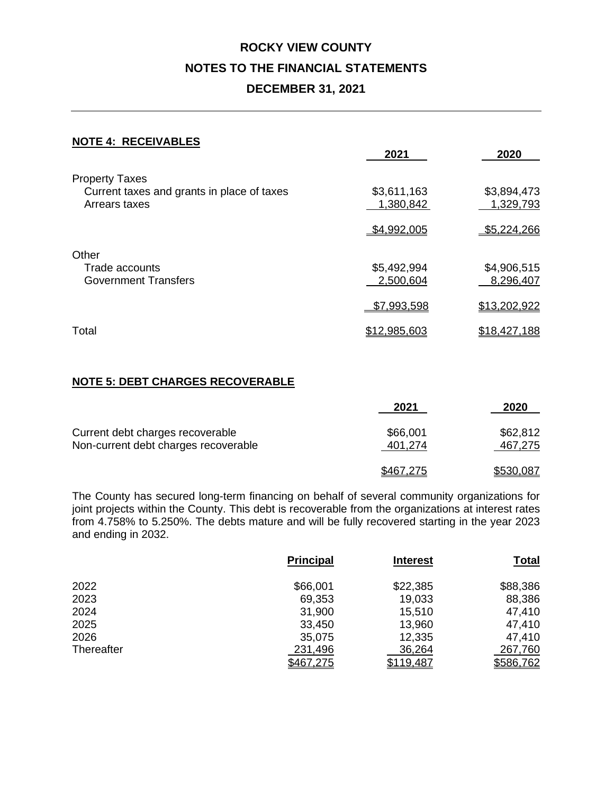### **ROCKY VIEW COUNTY NOTES TO THE FINANCIAL STATEMENTS DECEMBER 31, 2021**

#### **NOTE 4: RECEIVABLES**

|                                            | 2021         | 2020         |
|--------------------------------------------|--------------|--------------|
| <b>Property Taxes</b>                      |              |              |
| Current taxes and grants in place of taxes | \$3,611,163  | \$3,894,473  |
| Arrears taxes                              | 1,380,842    | 1,329,793    |
|                                            | \$4,992,005  | \$5,224,266  |
| Other                                      |              |              |
| Trade accounts                             | \$5,492,994  | \$4,906,515  |
| <b>Government Transfers</b>                | 2,500,604    | 8,296,407    |
|                                            | \$7,993,598  | \$13,202,922 |
| Total                                      | \$12,985,603 | \$18,427,188 |
|                                            |              |              |

#### **NOTE 5: DEBT CHARGES RECOVERABLE**

|                                                                          | 2021                | 2020                |
|--------------------------------------------------------------------------|---------------------|---------------------|
| Current debt charges recoverable<br>Non-current debt charges recoverable | \$66,001<br>401.274 | \$62,812<br>467,275 |
|                                                                          | \$467,275           | \$530,087           |

The County has secured long-term financing on behalf of several community organizations for joint projects within the County. This debt is recoverable from the organizations at interest rates from 4.758% to 5.250%. The debts mature and will be fully recovered starting in the year 2023 and ending in 2032.

|            | <b>Principal</b> | <b>Interest</b> | <b>Total</b> |
|------------|------------------|-----------------|--------------|
| 2022       | \$66,001         | \$22,385        | \$88,386     |
| 2023       | 69,353           | 19,033          | 88,386       |
| 2024       | 31,900           | 15,510          | 47,410       |
| 2025       | 33,450           | 13,960          | 47,410       |
| 2026       | 35,075           | 12,335          | 47,410       |
| Thereafter | 231,496          | 36,264          | 267,760      |
|            | \$467,275        | \$119,487       | \$586,762    |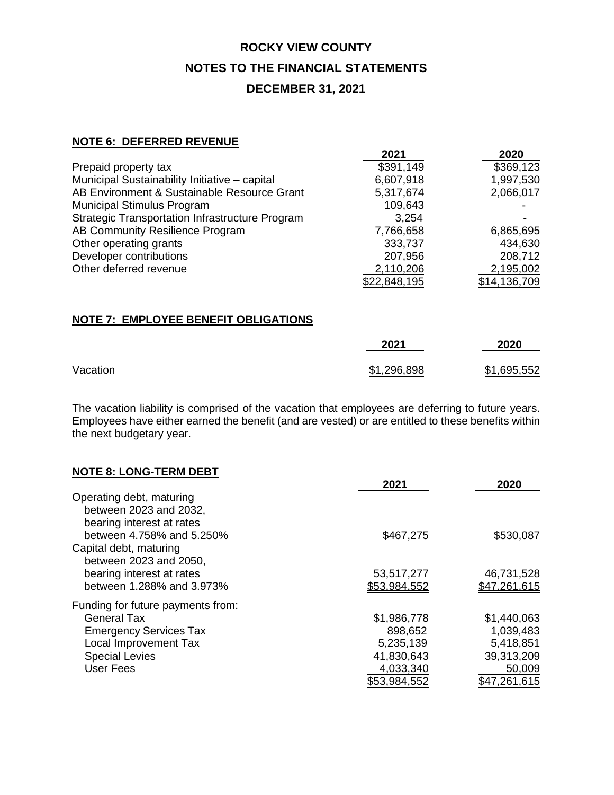### **DECEMBER 31, 2021**

#### **NOTE 6: DEFERRED REVENUE**

|                                                        | 2021         | 2020         |
|--------------------------------------------------------|--------------|--------------|
| Prepaid property tax                                   | \$391,149    | \$369,123    |
| Municipal Sustainability Initiative - capital          | 6,607,918    | 1,997,530    |
| AB Environment & Sustainable Resource Grant            | 5,317,674    | 2,066,017    |
| <b>Municipal Stimulus Program</b>                      | 109,643      |              |
| <b>Strategic Transportation Infrastructure Program</b> | 3,254        |              |
| AB Community Resilience Program                        | 7,766,658    | 6,865,695    |
| Other operating grants                                 | 333,737      | 434,630      |
| Developer contributions                                | 207,956      | 208,712      |
| Other deferred revenue                                 | 2,110,206    | 2,195,002    |
|                                                        | \$22,848,195 | \$14,136,709 |

### **NOTE 7: EMPLOYEE BENEFIT OBLIGATIONS**

|          | 2021        | 2020        |
|----------|-------------|-------------|
| Vacation | \$1,296,898 | \$1,695,552 |

The vacation liability is comprised of the vacation that employees are deferring to future years. Employees have either earned the benefit (and are vested) or are entitled to these benefits within the next budgetary year.

| <b>NOTE 8: LONG-TERM DEBT</b>     |              |              |
|-----------------------------------|--------------|--------------|
|                                   | 2021         | 2020         |
| Operating debt, maturing          |              |              |
| between 2023 and 2032,            |              |              |
| bearing interest at rates         |              |              |
| between 4.758% and 5.250%         | \$467,275    | \$530,087    |
| Capital debt, maturing            |              |              |
| between 2023 and 2050,            |              |              |
| bearing interest at rates         | 53,517,277   | 46,731,528   |
| between 1.288% and 3.973%         | \$53,984,552 | \$47,261,615 |
| Funding for future payments from: |              |              |
| <b>General Tax</b>                | \$1,986,778  | \$1,440,063  |
| <b>Emergency Services Tax</b>     | 898,652      | 1,039,483    |
| Local Improvement Tax             | 5,235,139    | 5,418,851    |
| <b>Special Levies</b>             | 41,830,643   | 39,313,209   |
| <b>User Fees</b>                  | 4,033,340    | 50,009       |
|                                   | \$53,984,552 | \$47,261,615 |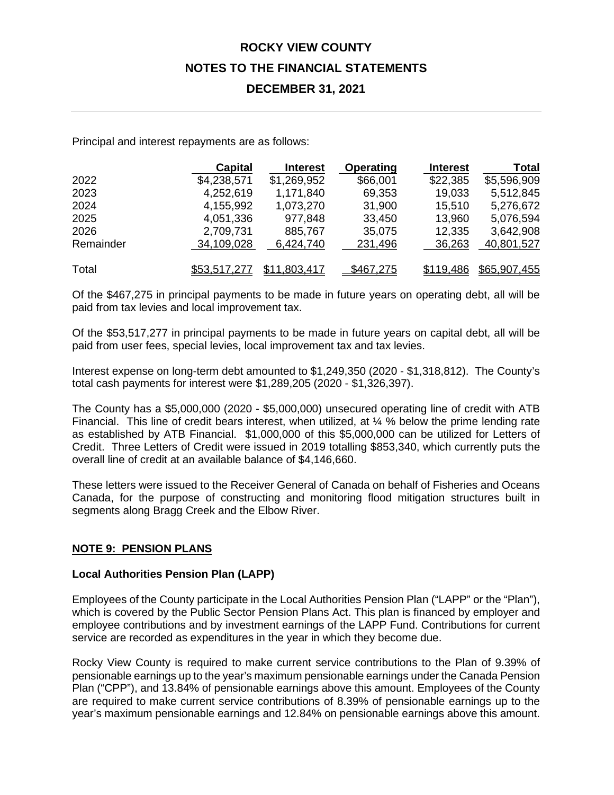### **DECEMBER 31, 2021**

Principal and interest repayments are as follows:

|           | <b>Capital</b>      | <b>Interest</b> | Operating | <b>Interest</b> | Total        |
|-----------|---------------------|-----------------|-----------|-----------------|--------------|
| 2022      | \$4,238,571         | \$1,269,952     | \$66,001  | \$22,385        | \$5,596,909  |
| 2023      | 4,252,619           | 1,171,840       | 69,353    | 19,033          | 5,512,845    |
| 2024      | 4,155,992           | 1,073,270       | 31,900    | 15,510          | 5,276,672    |
| 2025      | 4,051,336           | 977,848         | 33,450    | 13,960          | 5,076,594    |
| 2026      | 2,709,731           | 885,767         | 35,075    | 12,335          | 3,642,908    |
| Remainder | 34,109,028          | 6,424,740       | 231,496   | 36,263          | 40,801,527   |
| Total     | <u>\$53,517,277</u> | \$11,803,417    | \$467,275 | \$119,486       | \$65,907,455 |

Of the \$467,275 in principal payments to be made in future years on operating debt, all will be paid from tax levies and local improvement tax.

Of the \$53,517,277 in principal payments to be made in future years on capital debt, all will be paid from user fees, special levies, local improvement tax and tax levies.

Interest expense on long-term debt amounted to \$1,249,350 (2020 - \$1,318,812). The County's total cash payments for interest were \$1,289,205 (2020 - \$1,326,397).

The County has a \$5,000,000 (2020 - \$5,000,000) unsecured operating line of credit with ATB Financial. This line of credit bears interest, when utilized, at ¼ % below the prime lending rate as established by ATB Financial. \$1,000,000 of this \$5,000,000 can be utilized for Letters of Credit. Three Letters of Credit were issued in 2019 totalling \$853,340, which currently puts the overall line of credit at an available balance of \$4,146,660.

These letters were issued to the Receiver General of Canada on behalf of Fisheries and Oceans Canada, for the purpose of constructing and monitoring flood mitigation structures built in segments along Bragg Creek and the Elbow River.

#### **NOTE 9: PENSION PLANS**

#### **Local Authorities Pension Plan (LAPP)**

Employees of the County participate in the Local Authorities Pension Plan ("LAPP" or the "Plan"), which is covered by the Public Sector Pension Plans Act. This plan is financed by employer and employee contributions and by investment earnings of the LAPP Fund. Contributions for current service are recorded as expenditures in the year in which they become due.

Rocky View County is required to make current service contributions to the Plan of 9.39% of pensionable earnings up to the year's maximum pensionable earnings under the Canada Pension Plan ("CPP"), and 13.84% of pensionable earnings above this amount. Employees of the County are required to make current service contributions of 8.39% of pensionable earnings up to the year's maximum pensionable earnings and 12.84% on pensionable earnings above this amount.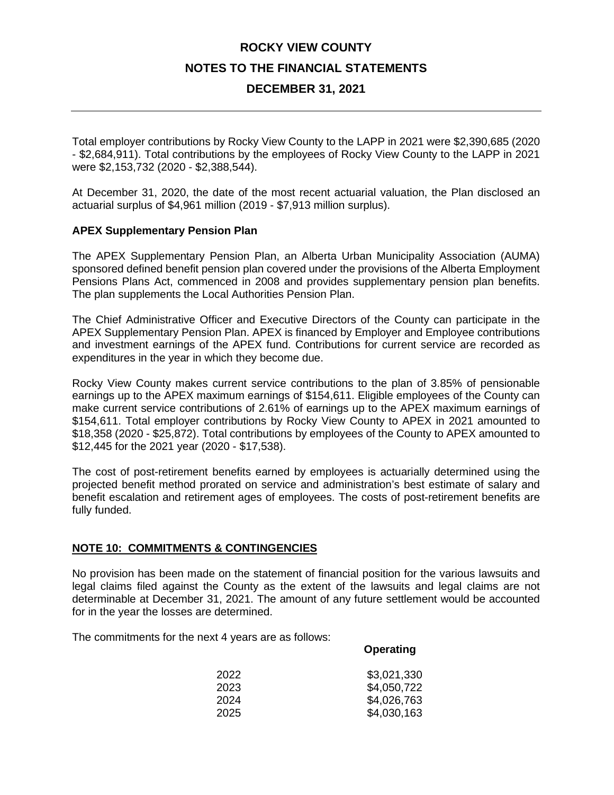### **DECEMBER 31, 2021**

Total employer contributions by Rocky View County to the LAPP in 2021 were \$2,390,685 (2020 - \$2,684,911). Total contributions by the employees of Rocky View County to the LAPP in 2021 were \$2,153,732 (2020 - \$2,388,544).

At December 31, 2020, the date of the most recent actuarial valuation, the Plan disclosed an actuarial surplus of \$4,961 million (2019 - \$7,913 million surplus).

#### **APEX Supplementary Pension Plan**

The APEX Supplementary Pension Plan, an Alberta Urban Municipality Association (AUMA) sponsored defined benefit pension plan covered under the provisions of the Alberta Employment Pensions Plans Act, commenced in 2008 and provides supplementary pension plan benefits. The plan supplements the Local Authorities Pension Plan.

The Chief Administrative Officer and Executive Directors of the County can participate in the APEX Supplementary Pension Plan. APEX is financed by Employer and Employee contributions and investment earnings of the APEX fund. Contributions for current service are recorded as expenditures in the year in which they become due.

Rocky View County makes current service contributions to the plan of 3.85% of pensionable earnings up to the APEX maximum earnings of \$154,611. Eligible employees of the County can make current service contributions of 2.61% of earnings up to the APEX maximum earnings of \$154,611. Total employer contributions by Rocky View County to APEX in 2021 amounted to \$18,358 (2020 - \$25,872). Total contributions by employees of the County to APEX amounted to \$12,445 for the 2021 year (2020 - \$17,538).

The cost of post-retirement benefits earned by employees is actuarially determined using the projected benefit method prorated on service and administration's best estimate of salary and benefit escalation and retirement ages of employees. The costs of post-retirement benefits are fully funded.

#### **NOTE 10: COMMITMENTS & CONTINGENCIES**

No provision has been made on the statement of financial position for the various lawsuits and legal claims filed against the County as the extent of the lawsuits and legal claims are not determinable at December 31, 2021. The amount of any future settlement would be accounted for in the year the losses are determined.

The commitments for the next 4 years are as follows:

#### **Operating**

| 2022 | \$3,021,330 |
|------|-------------|
| 2023 | \$4,050,722 |
| 2024 | \$4,026,763 |
| 2025 | \$4,030,163 |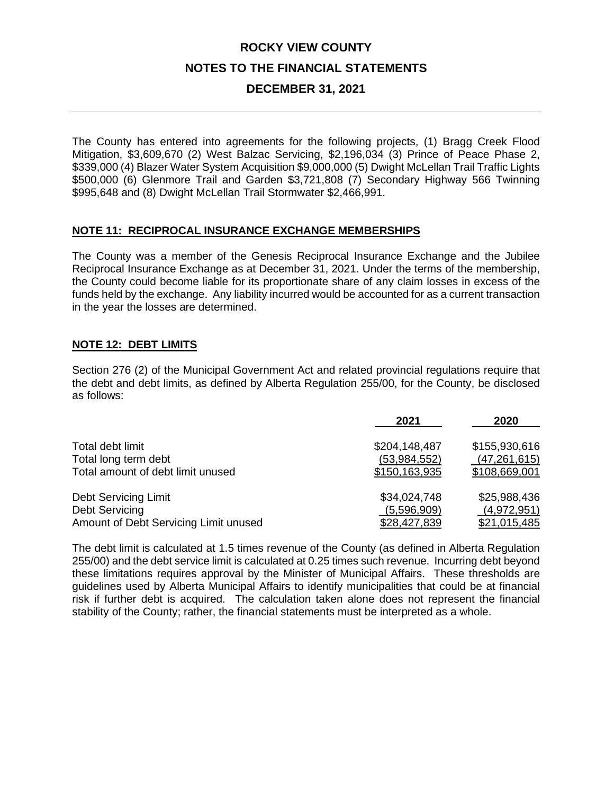### **DECEMBER 31, 2021**

The County has entered into agreements for the following projects, (1) Bragg Creek Flood Mitigation, \$3,609,670 (2) West Balzac Servicing, \$2,196,034 (3) Prince of Peace Phase 2, \$339,000 (4) Blazer Water System Acquisition \$9,000,000 (5) Dwight McLellan Trail Traffic Lights \$500,000 (6) Glenmore Trail and Garden \$3,721,808 (7) Secondary Highway 566 Twinning \$995,648 and (8) Dwight McLellan Trail Stormwater \$2,466,991.

#### **NOTE 11: RECIPROCAL INSURANCE EXCHANGE MEMBERSHIPS**

The County was a member of the Genesis Reciprocal Insurance Exchange and the Jubilee Reciprocal Insurance Exchange as at December 31, 2021. Under the terms of the membership, the County could become liable for its proportionate share of any claim losses in excess of the funds held by the exchange. Any liability incurred would be accounted for as a current transaction in the year the losses are determined.

### **NOTE 12: DEBT LIMITS**

Section 276 (2) of the Municipal Government Act and related provincial regulations require that the debt and debt limits, as defined by Alberta Regulation 255/00, for the County, be disclosed as follows:

|                                       | 2021          | 2020           |
|---------------------------------------|---------------|----------------|
| Total debt limit                      | \$204,148,487 | \$155,930,616  |
| Total long term debt                  | (53,984,552)  | (47, 261, 615) |
| Total amount of debt limit unused     | \$150,163,935 | \$108,669,001  |
| <b>Debt Servicing Limit</b>           | \$34,024,748  | \$25,988,436   |
| Debt Servicing                        | (5,596,909)   | (4,972,951)    |
| Amount of Debt Servicing Limit unused | \$28,427,839  | \$21,015,485   |

The debt limit is calculated at 1.5 times revenue of the County (as defined in Alberta Regulation 255/00) and the debt service limit is calculated at 0.25 times such revenue. Incurring debt beyond these limitations requires approval by the Minister of Municipal Affairs. These thresholds are guidelines used by Alberta Municipal Affairs to identify municipalities that could be at financial risk if further debt is acquired. The calculation taken alone does not represent the financial stability of the County; rather, the financial statements must be interpreted as a whole.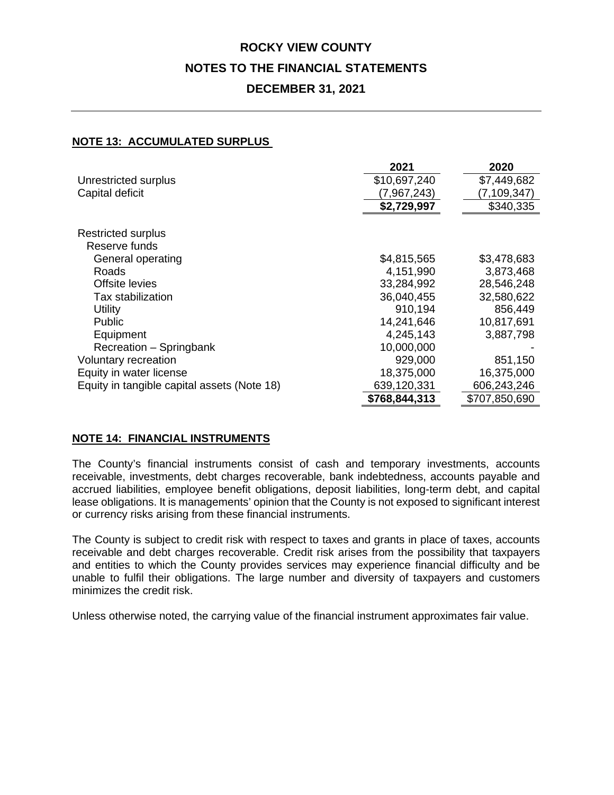### **ROCKY VIEW COUNTY NOTES TO THE FINANCIAL STATEMENTS DECEMBER 31, 2021**

#### **NOTE 13: ACCUMULATED SURPLUS**

|                                             | 2021          | 2020          |
|---------------------------------------------|---------------|---------------|
| Unrestricted surplus                        | \$10,697,240  | \$7,449,682   |
| Capital deficit                             | (7,967,243)   | (7,109,347)   |
|                                             | \$2,729,997   | \$340,335     |
|                                             |               |               |
| <b>Restricted surplus</b>                   |               |               |
| Reserve funds                               |               |               |
| General operating                           | \$4,815,565   | \$3,478,683   |
| Roads                                       | 4,151,990     | 3,873,468     |
| Offsite levies                              | 33,284,992    | 28,546,248    |
| Tax stabilization                           | 36,040,455    | 32,580,622    |
| <b>Utility</b>                              | 910,194       | 856,449       |
| <b>Public</b>                               | 14,241,646    | 10,817,691    |
| Equipment                                   | 4,245,143     | 3,887,798     |
| Recreation - Springbank                     | 10,000,000    |               |
| Voluntary recreation                        | 929,000       | 851,150       |
| Equity in water license                     | 18,375,000    | 16,375,000    |
| Equity in tangible capital assets (Note 18) | 639,120,331   | 606,243,246   |
|                                             | \$768,844,313 | \$707,850,690 |

#### **NOTE 14: FINANCIAL INSTRUMENTS**

The County's financial instruments consist of cash and temporary investments, accounts receivable, investments, debt charges recoverable, bank indebtedness, accounts payable and accrued liabilities, employee benefit obligations, deposit liabilities, long-term debt, and capital lease obligations. It is managements' opinion that the County is not exposed to significant interest or currency risks arising from these financial instruments.

The County is subject to credit risk with respect to taxes and grants in place of taxes, accounts receivable and debt charges recoverable. Credit risk arises from the possibility that taxpayers and entities to which the County provides services may experience financial difficulty and be unable to fulfil their obligations. The large number and diversity of taxpayers and customers minimizes the credit risk.

Unless otherwise noted, the carrying value of the financial instrument approximates fair value.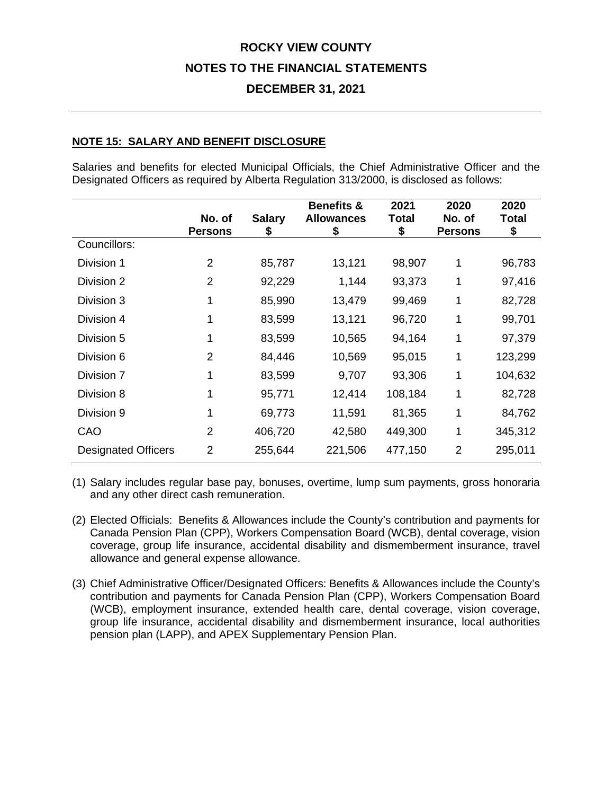### **DECEMBER 31, 2021**

#### **NOTE 15: SALARY AND BENEFIT DISCLOSURE**

Salaries and benefits for elected Municipal Officials, the Chief Administrative Officer and the Designated Officers as required by Alberta Regulation 313/2000, is disclosed as follows:

|                            | No. of<br><b>Persons</b> | <b>Salary</b><br>5 | <b>Benefits &amp;</b><br><b>Allowances</b><br>5 | 2021<br>Total<br>\$ | 2020<br>No. of<br><b>Persons</b> | 2020<br><b>Total</b><br>\$ |
|----------------------------|--------------------------|--------------------|-------------------------------------------------|---------------------|----------------------------------|----------------------------|
| Councillors:               |                          |                    |                                                 |                     |                                  |                            |
| Division 1                 | 2                        | 85,787             | 13,121                                          | 98,907              | 1                                | 96,783                     |
| Division 2                 | 2                        | 92,229             | 1,144                                           | 93,373              | 1                                | 97,416                     |
| Division 3                 |                          | 85,990             | 13,479                                          | 99,469              | 1                                | 82,728                     |
| Division 4                 |                          | 83,599             | 13,121                                          | 96,720              | 1                                | 99,701                     |
| Division 5                 |                          | 83,599             | 10,565                                          | 94,164              | 1                                | 97,379                     |
| Division 6                 | 2                        | 84,446             | 10,569                                          | 95,015              | 1                                | 123,299                    |
| Division 7                 |                          | 83,599             | 9,707                                           | 93,306              | 1                                | 104,632                    |
| Division 8                 |                          | 95,771             | 12,414                                          | 108,184             | 1                                | 82,728                     |
| Division 9                 |                          | 69,773             | 11,591                                          | 81,365              | 1                                | 84,762                     |
| CAO                        | $\overline{2}$           | 406,720            | 42,580                                          | 449,300             | 1                                | 345,312                    |
| <b>Designated Officers</b> | 2                        | 255,644            | 221,506                                         | 477,150             | $\overline{2}$                   | 295,011                    |

(1) Salary includes regular base pay, bonuses, overtime, lump sum payments, gross honoraria and any other direct cash remuneration.

- (2) Elected Officials: Benefits & Allowances include the County's contribution and payments for Canada Pension Plan (CPP), Workers Compensation Board (WCB), dental coverage, vision coverage, group life insurance, accidental disability and dismemberment insurance, travel allowance and general expense allowance.
- (3) Chief Administrative Officer/Designated Officers: Benefits & Allowances include the County's contribution and payments for Canada Pension Plan (CPP), Workers Compensation Board (WCB), employment insurance, extended health care, dental coverage, vision coverage, group life insurance, accidental disability and dismemberment insurance, local authorities pension plan (LAPP), and APEX Supplementary Pension Plan.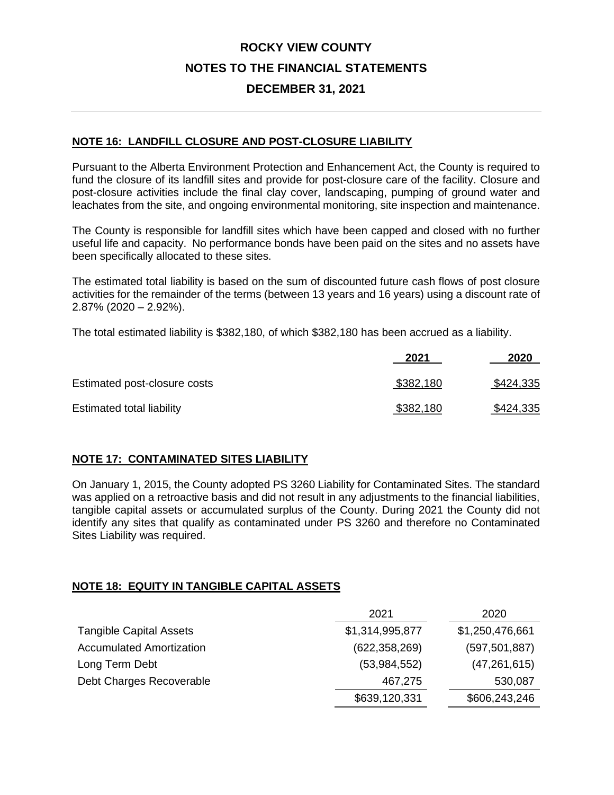### **DECEMBER 31, 2021**

#### **NOTE 16: LANDFILL CLOSURE AND POST-CLOSURE LIABILITY**

Pursuant to the Alberta Environment Protection and Enhancement Act, the County is required to fund the closure of its landfill sites and provide for post-closure care of the facility. Closure and post-closure activities include the final clay cover, landscaping, pumping of ground water and leachates from the site, and ongoing environmental monitoring, site inspection and maintenance.

The County is responsible for landfill sites which have been capped and closed with no further useful life and capacity. No performance bonds have been paid on the sites and no assets have been specifically allocated to these sites.

The estimated total liability is based on the sum of discounted future cash flows of post closure activities for the remainder of the terms (between 13 years and 16 years) using a discount rate of 2.87% (2020 – 2.92%).

The total estimated liability is \$382,180, of which \$382,180 has been accrued as a liability.

|                              | 2021      | 2020             |
|------------------------------|-----------|------------------|
| Estimated post-closure costs | \$382,180 | \$424,335        |
| Estimated total liability    | \$382,180 | <u>\$424,335</u> |

#### **NOTE 17: CONTAMINATED SITES LIABILITY**

On January 1, 2015, the County adopted PS 3260 Liability for Contaminated Sites. The standard was applied on a retroactive basis and did not result in any adjustments to the financial liabilities, tangible capital assets or accumulated surplus of the County. During 2021 the County did not identify any sites that qualify as contaminated under PS 3260 and therefore no Contaminated Sites Liability was required.

#### **NOTE 18: EQUITY IN TANGIBLE CAPITAL ASSETS**

|                                 | 2021            | 2020            |
|---------------------------------|-----------------|-----------------|
| <b>Tangible Capital Assets</b>  | \$1,314,995,877 | \$1,250,476,661 |
| <b>Accumulated Amortization</b> | (622, 358, 269) | (597, 501, 887) |
| Long Term Debt                  | (53,984,552)    | (47, 261, 615)  |
| Debt Charges Recoverable        | 467,275         | 530,087         |
|                                 | \$639,120,331   | \$606,243,246   |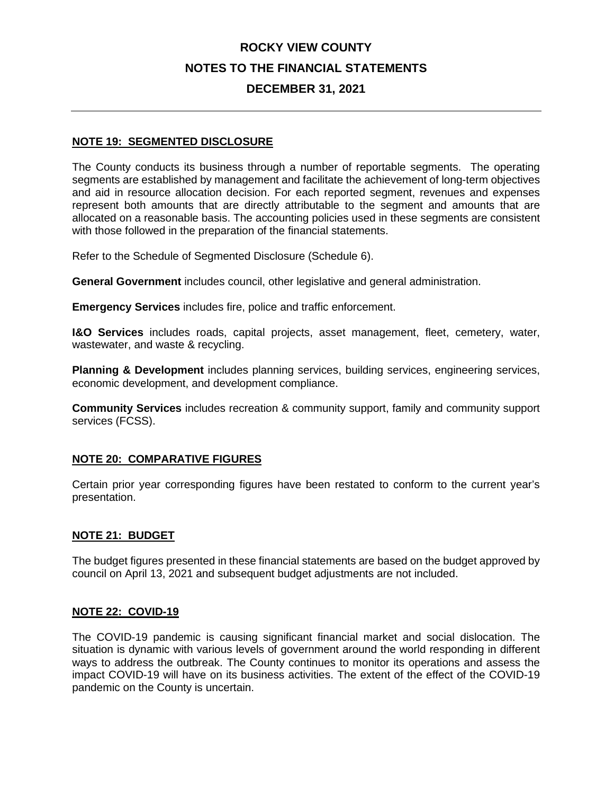### **DECEMBER 31, 2021**

#### **NOTE 19: SEGMENTED DISCLOSURE**

The County conducts its business through a number of reportable segments. The operating segments are established by management and facilitate the achievement of long-term objectives and aid in resource allocation decision. For each reported segment, revenues and expenses represent both amounts that are directly attributable to the segment and amounts that are allocated on a reasonable basis. The accounting policies used in these segments are consistent with those followed in the preparation of the financial statements.

Refer to the Schedule of Segmented Disclosure (Schedule 6).

**General Government** includes council, other legislative and general administration.

**Emergency Services** includes fire, police and traffic enforcement.

**I&O Services** includes roads, capital projects, asset management, fleet, cemetery, water, wastewater, and waste & recycling.

**Planning & Development** includes planning services, building services, engineering services, economic development, and development compliance.

**Community Services** includes recreation & community support, family and community support services (FCSS).

#### **NOTE 20: COMPARATIVE FIGURES**

Certain prior year corresponding figures have been restated to conform to the current year's presentation.

#### **NOTE 21: BUDGET**

The budget figures presented in these financial statements are based on the budget approved by council on April 13, 2021 and subsequent budget adjustments are not included.

#### **NOTE 22: COVID-19**

The COVID-19 pandemic is causing significant financial market and social dislocation. The situation is dynamic with various levels of government around the world responding in different ways to address the outbreak. The County continues to monitor its operations and assess the impact COVID-19 will have on its business activities. The extent of the effect of the COVID-19 pandemic on the County is uncertain.